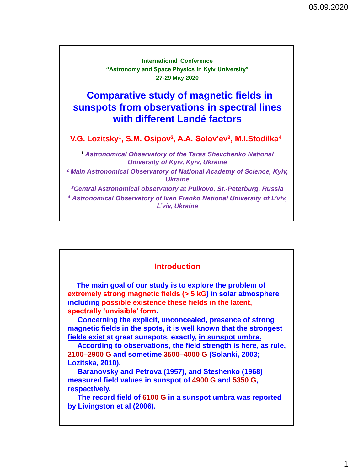| <b>International Conference</b><br>"Astronomy and Space Physics in Kyiv University"<br>27-29 May 2020                                                                                   |
|-----------------------------------------------------------------------------------------------------------------------------------------------------------------------------------------|
| <b>Comparative study of magnetic fields in</b><br>sunspots from observations in spectral lines<br>with different Landé factors                                                          |
| V.G. Lozitsky <sup>1</sup> , S.M. Osipov <sup>2</sup> , A.A. Solov'ev <sup>3</sup> , M.I.Stodilka <sup>4</sup>                                                                          |
| <sup>1</sup> Astronomical Observatory of the Taras Shevchenko National<br><b>University of Kyiv, Kyiv, Ukraine</b>                                                                      |
| <sup>2</sup> Main Astronomical Observatory of National Academy of Science, Kyiv,<br><i><b>Ukraine</b></i>                                                                               |
| <sup>3</sup> Central Astronomical observatory at Pulkovo, St.-Peterburg, Russia<br><sup>4</sup> Astronomical Observatory of Ivan Franko National University of L'viv,<br>L'viv, Ukraine |

### **Introduction**

 **The main goal of our study is to explore the problem of extremely strong magnetic fields (> 5 kG) in solar atmosphere including possible existence these fields in the latent, spectrally 'unvisible' form.** 

 **Concerning the explicit, unconcealed, presence of strong magnetic fields in the spots, it is well known that the strongest fields exist at great sunspots, exactly, in sunspot umbra.** 

 **According to observations, the field strength is here, as rule, 2100–2900 G and sometime 3500–4000 G (Solanki, 2003; Lozitska, 2010).** 

 **Baranovsky and Petrova (1957), and Steshenko (1968) measured field values in sunspot of 4900 G and 5350 G, respectively.** 

 **The record field of 6100 G in a sunspot umbra was reported by Livingston et al (2006).**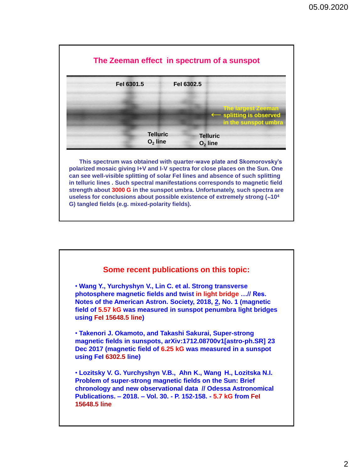

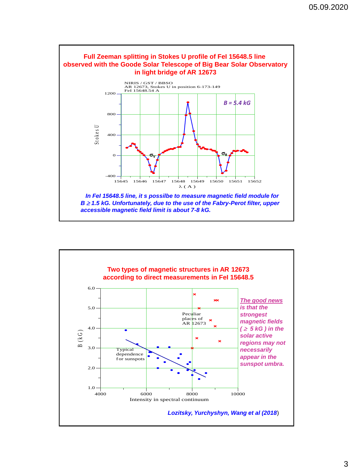

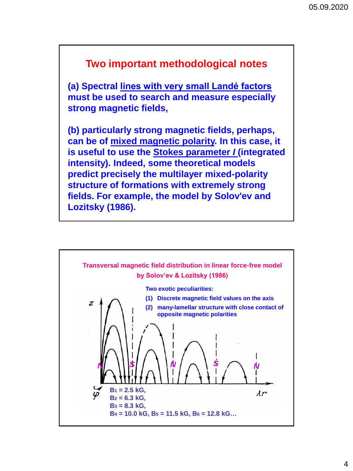# **Two important methodological notes**

**(a) Spectral lines with very small Landé factors must be used to search and measure especially strong magnetic fields,**

**(b) particularly strong magnetic fields, perhaps, can be of mixed magnetic polarity. In this case, it is useful to use the Stokes parameter** *I* **(integrated intensity). Indeed, some theoretical models predict precisely the multilayer mixed-polarity structure of formations with extremely strong fields. For example, the model by Solov'ev and Lozitsky (1986).**

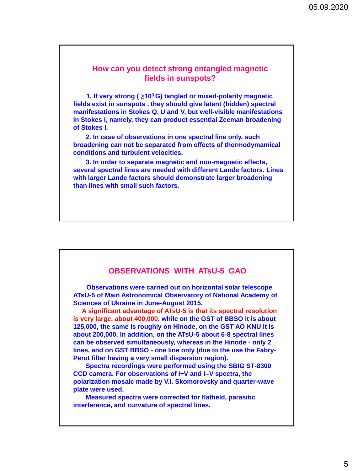## **How can you detect strong entangled magnetic fields in sunspots?**

**1. If very strong (** $\geq 10^3$  **G) tangled or mixed-polarity magnetic fields exist in sunspots , they should give latent (hidden) spectral manifestations in Stokes Q, U and V, but well-visible manifestations in Stokes I, namely, they can product essential Zeeman broadening of Stokes I.**

 **2. In case of observations in one spectral line only, such broadening can not be separated from effects of thermodymamical conditions and turbulent velocities.**

 **3. In order to separate magnetic and non-magnetic effects, several spectral lines are needed with different Lande factors. Lines with larger Lande factors should demonstrate larger broadening than lines with small such factors.**

## **OBSERVATIONS WITH ATsU-5 GAO**

 **Observations were carried out on horizontal solar telescope ATsU-5 of Main Astronomical Observatory of National Academy of Sciences of Ukraine in June-August 2015.** 

 **A significant advantage of ATsU-5 is that its spectral resolution is very large, about 400,000, while on the GST of BBSO it is about 125,000, the same is roughly on Hinode, on the GST AO KNU it is about 200,000. In addition, on the ATsU-5 about 6-8 spectral lines can be observed simultaneously, whereas in the Hinode - only 2 lines, and on GST BBSO - one line only (due to the use the Fabry-Perot filter having a very small dispersion region).**

 **Spectra recordings were performed using the SBIG ST-8300 CCD camera. For observations of I+V and I–V spectra, the polarization mosaic made by V.I. Skomorovsky and quarter-wave plate were used.** 

 **Measured spectra were corrected for flatfield, parasitic interference, and curvature of spectral lines.**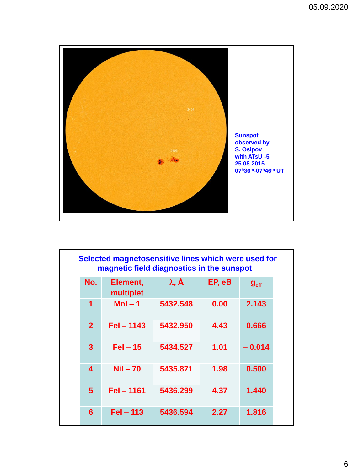

| Selected magnetosensitive lines which were used for<br>magnetic field diagnostics in the sunspot |                       |                          |        |                  |  |
|--------------------------------------------------------------------------------------------------|-----------------------|--------------------------|--------|------------------|--|
| No.                                                                                              | Element,<br>multiplet | $\lambda$ , $\mathbf{A}$ | EP, eB | g <sub>eff</sub> |  |
| 1                                                                                                | $Mnl - 1$             | 5432.548                 | 0.00   | 2.143            |  |
| $\overline{2}$                                                                                   | $FeI - 1143$          | 5432.950                 | 4.43   | 0.666            |  |
| 3                                                                                                | $FeI - 15$            | 5434.527                 | 1.01   | $-0.014$         |  |
| $\overline{\mathbf{4}}$                                                                          | $Nil - 70$            | 5435.871                 | 1.98   | 0.500            |  |
| 5                                                                                                | Fel - 1161            | 5436.299                 | 4.37   | 1.440            |  |
| 6                                                                                                | $FeI - 113$           | 5436.594                 | 2.27   | 1.816            |  |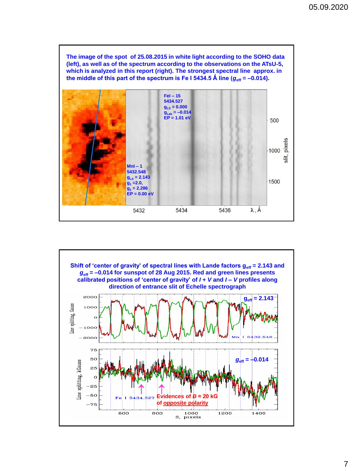**The image of the spot of 25.08.2015 in white light according to the SOHO data (left), as well as of the spectrum according to the observations on the ATsU-5, which is analyzed in this report (right). The strongest spectral line approx. in**  the middle of this part of the spectrum is Fe I 5434.5 Å line  $(g_{\text{eff}} = -0.014)$ .



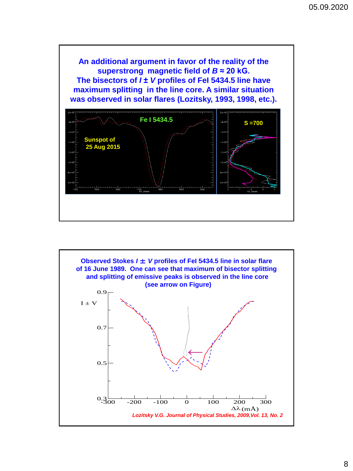**Sunspot of 25 Aug 2015 S =700 An additional argument in favor of the reality of the superstrong magnetic field of** *B* **≈ 20 kG. The bisectors of** *I* **±** *V* **profiles of FeI 5434.5 line have maximum splitting in the line core. A similar situation was observed in solar flares (Lozitsky, 1993, 1998, etc.). Fe I 5434.5**

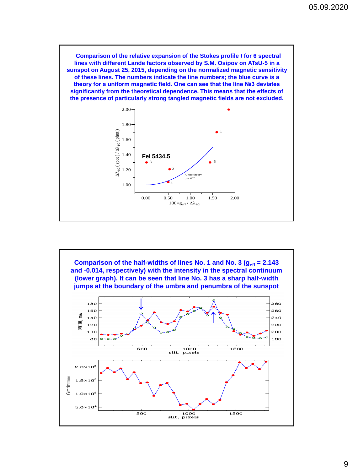**Comparison of the relative expansion of the Stokes profile** *I* **for 6 spectral lines with different Lande factors observed by S.M. Osipov on ATsU-5 in a sunspot on August 25, 2015, depending on the normalized magnetic sensitivity of these lines. The numbers indicate the line numbers; the blue curve is a theory for a uniform magnetic field. One can see that the line №3 deviates significantly from the theoretical dependence. This means that the effects of the presence of particularly strong tangled magnetic fields are not excluded.**



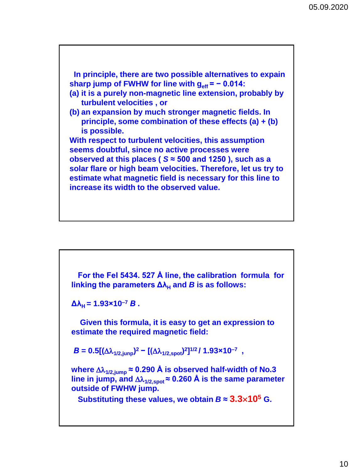**In principle, there are two possible alternatives to expain** sharp jump of FWHW for line with  $g_{\text{eff}} = -0.014$ : **(a) it is a purely non-magnetic line extension, probably by turbulent velocities , or (b) an expansion by much stronger magnetic fields. In principle, some combination of these effects (a) + (b) is possible. With respect to turbulent velocities, this assumption seems doubtful, since no active processes were observed at this places (** *S* **≈ 500 and 1250 ), such as a solar flare or high beam velocities. Therefore, let us try to estimate what magnetic field is necessary for this line to increase its width to the observed value.**

 **For the FeI 5434. 527 Å line, the calibration formula for**  linking the parameters  $Δλ<sub>H</sub>$  and *B* is as follows:

 $Δλ<sub>H</sub> = 1.93 \times 10^{-7} B$ .

 **Given this formula, it is easy to get an expression to estimate the required magnetic field:**

 $B = 0.5[(\Delta\lambda_{1/2,jump})^2 - [(\Delta\lambda_{1/2,spot})^2]^{1/2}/1.93 \times 10^{-7}$ ,

where  $\Delta\lambda_{1/2,\text{iump}} \approx 0.290$  Å is observed half-width of No.3 line in jump, and  $\Delta\lambda_{1/2,spot}$  ≈ 0.260 Å is the same parameter **outside of FWHW jump.** 

**Substituting these values, we obtain**  $B \approx 3.3 \times 10^5$  **G.**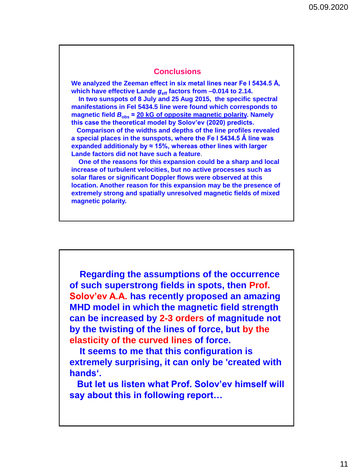### **Conclusions**

**We analyzed the Zeeman effect in six metal lines near Fe I 5434.5 Å, which have effective Lande**  $g_{\text{eff}}$  **factors from -0.014 to 2.14.** 

 **In two sunspots of 8 July and 25 Aug 2015, the specific spectral manifestations in FeI 5434.5 line were found which corresponds to magnetic field**  $B_{obs} \approx 20$  **kG of opposite magnetic polarity. Namely this case the theoretical model by Solov'ev (2020) predicts.** 

 **Comparison of the widths and depths of the line profiles revealed a special places in the sunspots, where the Fe I 5434.5 Ǻ line was expanded additionaly by ≈ 15%, whereas other lines with larger Lande factors did not have such a feature**.

 **One of the reasons for this expansion could be a sharp and local increase of turbulent velocities, but no active processes such as solar flares or significant Doppler flows were observed at this location. Another reason for this expansion may be the presence of extremely strong and spatially unresolved magnetic fields of mixed magnetic polarity.**

 **Regarding the assumptions of the occurrence of such superstrong fields in spots, then Prof. Solov'ev A.A. has recently proposed an amazing MHD model in which the magnetic field strength can be increased by 2-3 orders of magnitude not by the twisting of the lines of force, but by the elasticity of the curved lines of force.** 

 **It seems to me that this configuration is extremely surprising, it can only be 'created with hands'.**

 **But let us listen what Prof. Solov'ev himself will say about this in following report…**